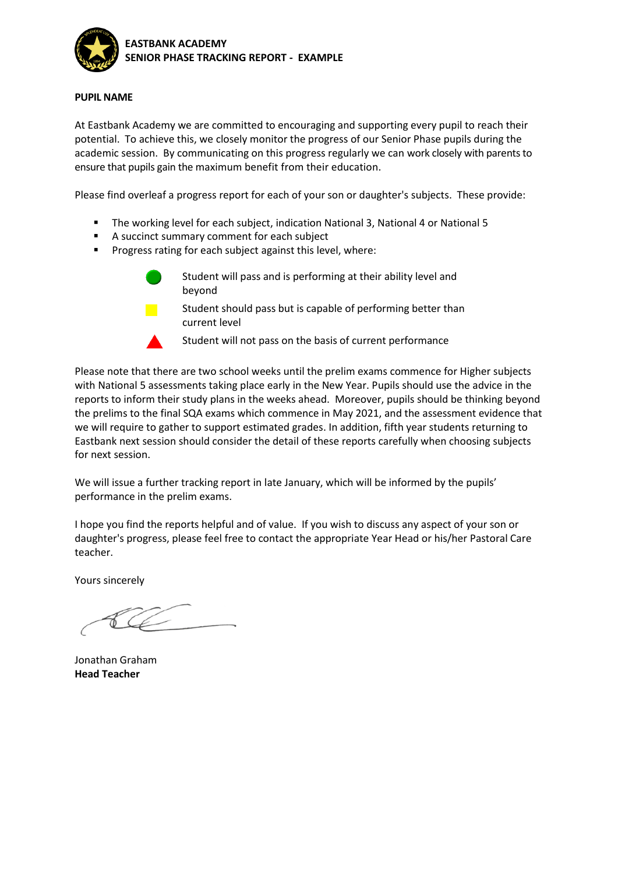

## **PUPIL NAME**

At Eastbank Academy we are committed to encouraging and supporting every pupil to reach their potential. To achieve this, we closely monitor the progress of our Senior Phase pupils during the academic session. By communicating on this progress regularly we can work closely with parents to ensure that pupils gain the maximum benefit from their education.

Please find overleaf a progress report for each of your son or daughter's subjects. These provide:

- The working level for each subject, indication National 3, National 4 or National 5
- A succinct summary comment for each subject
- Progress rating for each subject against this level, where:

Student will pass and is performing at their ability level and beyond

Student should pass but is capable of performing better than current level

Student will not pass on the basis of current performance

Please note that there are two school weeks until the prelim exams commence for Higher subjects with National 5 assessments taking place early in the New Year. Pupils should use the advice in the reports to inform their study plans in the weeks ahead. Moreover, pupils should be thinking beyond the prelims to the final SQA exams which commence in May 2021, and the assessment evidence that we will require to gather to support estimated grades. In addition, fifth year students returning to Eastbank next session should consider the detail of these reports carefully when choosing subjects for next session.

We will issue a further tracking report in late January, which will be informed by the pupils' performance in the prelim exams.

I hope you find the reports helpful and of value. If you wish to discuss any aspect of your son or daughter's progress, please feel free to contact the appropriate Year Head or his/her Pastoral Care teacher.

Yours sincerely

Jonathan Graham **Head Teacher**